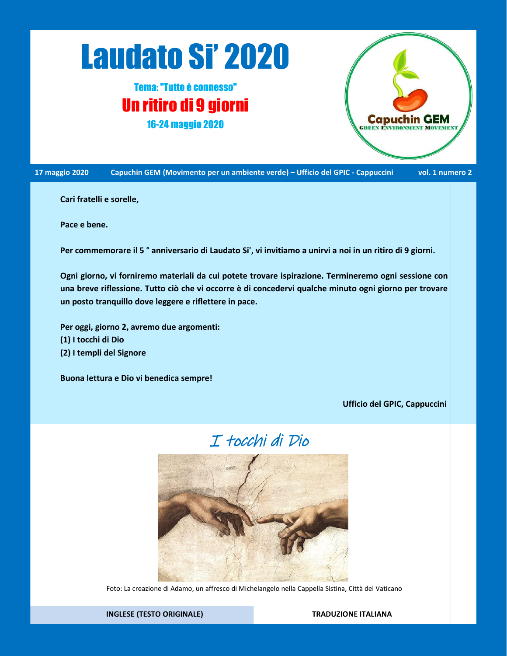

**Cari fratelli e sorelle,**

**Pace e bene.**

Per commemorare il 5<sup>°</sup> anniversario di Laudato Si', vi invitiamo a unirvi a noi in un ritiro di 9 giorni.

**Ogni giorno, vi forniremo materiali da cui potete trovare ispirazione. Termineremo ogni sessione con una breve riflessione. Tutto ciò che vi occorre è di concedervi qualche minuto ogni giorno per trovare un posto tranquillo dove leggere e riflettere in pace.**

**Per oggi, giorno 2, avremo due argomenti: (1) I tocchi di Dio (2) I templi del Signore**

**Buona lettura e Dio vi benedica sempre!**

**Ufficio del GPIC, Cappuccini**





Foto: La creazione di Adamo, un affresco di Michelangelo nella Cappella Sistina, Città del Vaticano

**INGLESE (TESTO ORIGINALE) TRADUZIONE ITALIANA**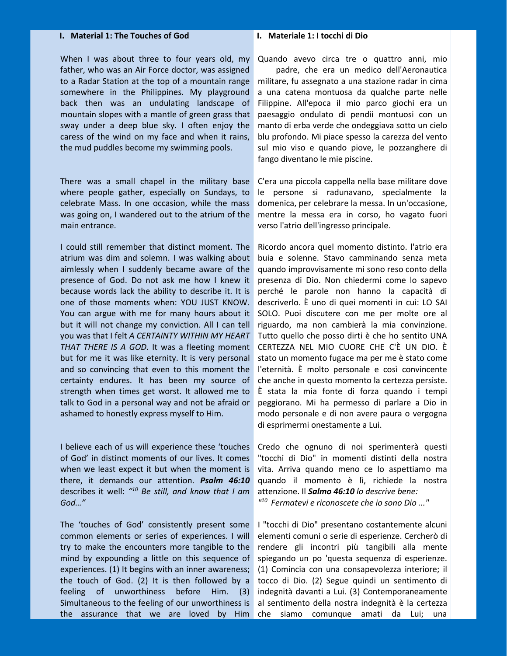# **I. Material 1: The Touches of God**

When I was about three to four years old, my father, who was an Air Force doctor, was assigned to a Radar Station at the top of a mountain range somewhere in the Philippines. My playground back then was an undulating landscape of mountain slopes with a mantle of green grass that sway under a deep blue sky. I often enjoy the caress of the wind on my face and when it rains, the mud puddles become my swimming pools.

There was a small chapel in the military base where people gather, especially on Sundays, to celebrate Mass. In one occasion, while the mass was going on, I wandered out to the atrium of the main entrance.

I could still remember that distinct moment. The atrium was dim and solemn. I was walking about aimlessly when I suddenly became aware of the presence of God. Do not ask me how I knew it because words lack the ability to describe it. It is one of those moments when: YOU JUST KNOW. You can argue with me for many hours about it but it will not change my conviction. All I can tell you was that I felt *A CERTAINTY WITHIN MY HEART THAT THERE IS A GOD*. It was a fleeting moment but for me it was like eternity. It is very personal and so convincing that even to this moment the certainty endures. It has been my source of strength when times get worst. It allowed me to talk to God in a personal way and not be afraid or ashamed to honestly express myself to Him.

I believe each of us will experience these 'touches of God' in distinct moments of our lives. It comes when we least expect it but when the moment is there, it demands our attention. *Psalm 46:10* describes it well: "<sup>10</sup> Be still, and know that I am *God…"*

The 'touches of God' consistently present some common elements or series of experiences. I will try to make the encounters more tangible to the mind by expounding a little on this sequence of experiences. (1) It begins with an inner awareness; the touch of God. (2) It is then followed by a feeling of unworthiness before Him. (3) Simultaneous to the feeling of our unworthiness is the assurance that we are loved by Him

#### **I. Materiale 1: I tocchi di Dio**

Quando avevo circa tre o quattro anni, mio padre, che era un medico dell'Aeronautica militare, fu assegnato a una stazione radar in cima a una catena montuosa da qualche parte nelle Filippine. All'epoca il mio parco giochi era un paesaggio ondulato di pendii montuosi con un manto di erba verde che ondeggiava sotto un cielo blu profondo. Mi piace spesso la carezza del vento sul mio viso e quando piove, le pozzanghere di fango diventano le mie piscine.

C'era una piccola cappella nella base militare dove le persone si radunavano, specialmente la domenica, per celebrare la messa. In un'occasione, mentre la messa era in corso, ho vagato fuori verso l'atrio dell'ingresso principale.

Ricordo ancora quel momento distinto. l'atrio era buia e solenne. Stavo camminando senza meta quando improvvisamente mi sono reso conto della presenza di Dio. Non chiedermi come lo sapevo perché le parole non hanno la capacità di descriverlo. È uno di quei momenti in cui: LO SAI SOLO. Puoi discutere con me per molte ore al riguardo, ma non cambierà la mia convinzione. Tutto quello che posso dirti è che ho sentito UNA CERTEZZA NEL MIO CUORECHE C'È UN DIO. È stato un momento fugace ma per me è stato come l'eternità. È molto personale e così convincente che anche in questo momento la certezza persiste. È stata la mia fonte di forza quando i tempi peggiorano. Mi ha permesso di parlare a Dio in modo personale e di non avere paura o vergogna di esprimermi onestamente a Lui.

*<sup>10</sup> Be still, and know that I am* attenzione. Il *Salmo 46:10 lo descrive bene:* Credo che ognuno di noi sperimenterà questi "tocchi di Dio" in momenti distinti della nostra vita. Arriva quando meno ce lo aspettiamo ma quando il momento è lì, richiede la nostra *" <sup>10</sup> Fermatevi e riconoscete che io sono Dio ..."*

> I "tocchi di Dio" presentano costantemente alcuni elementi comuni o serie di esperienze. Cercherò di rendere gli incontri più tangibili alla mente spiegando un po 'questa sequenza di esperienze. (1) Comincia con una consapevolezza interiore; il tocco di Dio. (2) Segue quindi un sentimento di indegnità davanti a Lui. (3) Contemporaneamente al sentimento della nostra indegnità è la certezza comunque amati da Lui; una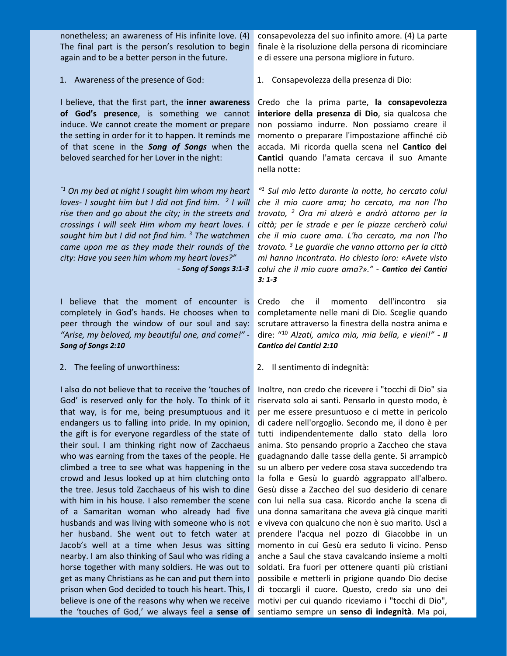nonetheless; an awareness of His infinite love. (4) The final part is the person's resolution to begin again and to be a better person in the future.

1. Awareness of the presence of God:

I believe, that the first part, the **inner awareness of God's presence**, is something we cannot induce. We cannot create the moment or prepare the setting in order for it to happen. It reminds me of that scene in the *Song of Songs* when the beloved searched for her Lover in the night:

*"1 On my bed at nightI sought him whom my heart loves- I sought him but I did not find him. <sup>2</sup> rise then and go about the city; in the streets and crossings I will seek Him whom my heart loves. I sought him but I did not find him. <sup>3</sup> The watchmen came upon me as they made their rounds of the city: Have you seen him whom my heart loves?"*

*- Song of Songs 3:1-3*

I believe that the moment of encounter is Credo che il completely in God's hands. He chooses when to peer through the window of our soul and say: *"Arise, my beloved, my beautiful one, and come!"* - *Song of Songs 2:10*

2. The feeling of unworthiness:

I also do not believe that to receive the 'touches of God' is reserved only for the holy. To think of it that way, is for me, being presumptuous and it endangers us to falling into pride. In my opinion, the gift is for everyone regardless of the state of their soul. I am thinking right now of Zacchaeus who was earning from the taxes of the people. He climbed a tree to see what was happening in the crowd and Jesus looked up at him clutching onto the tree. Jesus told Zacchaeus of his wish to dine with him in his house. I also remember the scene of a Samaritan woman who already had five husbands and was living with someone who is not her husband. She went out to fetch water at Jacob's well at a time when Jesus was sitting nearby. I am also thinking of Saul who was riding a horse together with many soldiers. He was out to get as many Christians as he can and put them into prison when God decided to touch his heart. This, I believe is one of the reasons why when we receive the 'touches of God,' we always feel a **sense of**

consapevolezza del suo infinito amore. (4) La parte finale è la risoluzione della persona di ricominciare e di essere una persona migliore in futuro.

1. Consapevolezza della presenza di Dio:

Credo che la prima parte, **la consapevolezza interiore della presenza di Dio**, sia qualcosa che non possiamo indurre. Non possiamo creare il momento o preparare l'impostazione affinché ciò accada. Mi ricorda quella scena nel **Cantico dei** Cantici quando l'amata cercava il suo Amante nella notte:

*I will che il mio cuore ama; ho cercato, ma non l'ho " <sup>1</sup> Sul mio letto durante la notte, ho cercato colui trovato, <sup>2</sup> Ora mi alzerò e andrò attorno per la città; per le strade e perle piazze cercherò colui che il mio cuore ama. L'ho cercato, ma non l'ho trovato. <sup>3</sup> Le guardie che vanno attorno per la città mi hanno incontrata. Ho chiesto loro: «Avete visto colui che il mio cuore ama?»." - Cantico dei Cantici 3: 1-3*

momento dell'incontro sia completamente nelle mani di Dio. Sceglie quando scrutare attraverso la finestra della nostra anima e dire: " <sup>10</sup> *Alzati, amica mia, mia bella, e vieni!" - Il Cantico dei Cantici 2:10*

2. Il sentimento di indegnità:

Inoltre, non credo che ricevere i "tocchi di Dio" sia riservato solo ai santi. Pensarlo in questo modo, è per me essere presuntuoso e ci mette in pericolo di cadere nell'orgoglio. Secondo me, il dono è per tutti indipendentemente dallo stato della loro anima. Sto pensando proprio a Zaccheo che stava guadagnando dalle tasse della gente. Si arrampicò su un albero per vedere cosa stava succedendo tra la folla e Gesù lo guardò aggrappato all'albero. Gesù disse a Zaccheo del suo desiderio di cenare con lui nella sua casa. Ricordo anche la scena di una donna samaritana che aveva già cinque mariti e viveva con qualcuno che non è suo marito. Uscì a prendere l'acqua nel pozzo di Giacobbe in un momento in cui Gesù era seduto lì vicino. Penso anche a Saul che stava cavalcando insieme a molti soldati. Era fuori per ottenere quanti più cristiani possibile e metterli in prigione quando Dio decise di toccargli il cuore. Questo, credo sia uno dei motivi per cui quando riceviamo i "tocchi di Dio", sentiamo sempre un **senso di indegnità**. Ma poi,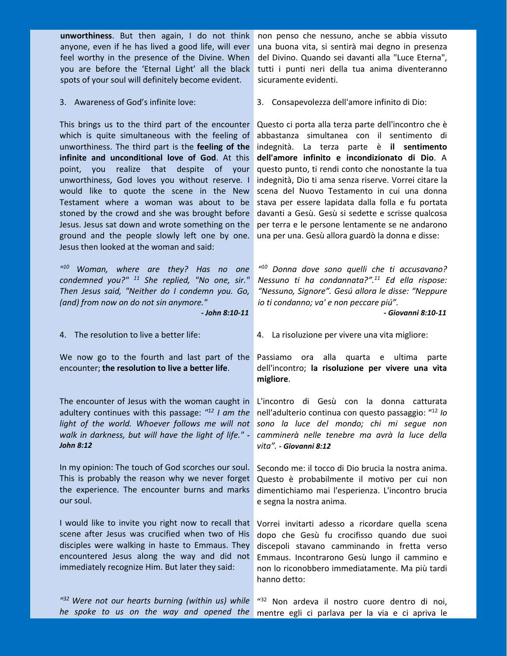**unworthiness**. But then again, I do not think anyone, even if he has lived a good life, will ever feel worthy in the presence of the Divine. When you are before the 'Eternal Light' all the black spots of your soul will definitely become evident.

3. Awareness of God's infinite love:

This brings us to the third part of the encounter which is quite simultaneous with the feeling of unworthiness. The third part is the **feeling of the infinite and unconditional love of God**. At this point, you realize that despite of your unworthiness, God loves you without reserve. I would like to quote the scene in the New Testament where a woman was about to be stoned by the crowd and she was brought before Jesus. Jesus sat down and wrote something on the ground and the people slowly left one by one. Jesus then looked at the woman and said:

*" <sup>10</sup> Woman, where are they? Has no one condemned you?" <sup>11</sup> She replied, "No one, sir." Then Jesus said, "Neither do I condemn you. Go, (and) from now on do not sin anymore."*

*- John 8:10-11*

4. The resolution to live a better life:

We now go to the fourth and last part of the Passiamo ora alla quarta e ultima parte encounter; **the resolution to live a better life**.<br>The encounter of Jesus with the woman caught in

adultery continues with this passage: "<sup>12</sup> I am the nell'a *light of the world. Whoever follows me will not walk in darkness, but will have the light of life." - John 8:12*

In my opinion: The touch of God scorches our soul. This is probably the reason why we never forget the experience. The encounter burns and marks our soul.

I would like to invite you right now to recall that scene after Jesus was crucified when two of His disciples were walking in haste to Emmaus. They encountered Jesus along the way and did not immediately recognize Him. But later they said:

non penso che nessuno, anche se abbia vissuto una buona vita, si sentirà mai degno in presenza del Divino. Quando sei davanti alla "Luce Eterna", tutti i punti neri della tua anima diventeranno sicuramente evidenti.

3. Consapevolezza dell'amore infinito di Dio:

Questo ci porta alla terza parte dell'incontro che è abbastanza simultanea con il sentimento di indegnità. La terza parte è **il sentimento dell'amore infinito e incondizionato di Dio**. A questo punto, ti rendi conto che nonostante la tua indegnità, Dio ti ama senza riserve. Vorrei citare la scena del Nuovo Testamento in cui una donna stava per essere lapidata dalla folla e fu portata davanti a Gesù. Gesù si sedette e scrisse qualcosa per terra e le persone lentamente se ne andarono una per una. Gesù allora guardò la donna e disse:

*" <sup>10</sup> Donna dove sono quelli che ti accusavano? Nessuno ti ha condannata?".<sup>11</sup> Ed ella rispose: "Nessuno, Signore". Gesú allora le disse: "Neppure io ti condanno; va' e non peccare piú".*

*- Giovanni 8:10-11*

4. La risoluzione per vivere una vita migliore:

dell'incontro; **la risoluzione per vivere una vita migliore**.

*I* am the nell'adulterio continua con questo passaggio: "<sup>12</sup> lo L'incontro di Gesù con la donna catturata *Io sono la luce del mondo; chi mi segue non camminerà nelle tenebre ma avrà la luce della vita". - Giovanni 8:12*

> Secondo me: il tocco di Dio brucia la nostra anima. Questo è probabilmente il motivo per cui non dimentichiamo mai l'esperienza. L'incontro brucia e segna la nostra anima.

> Vorrei invitarti adesso a ricordare quella scena dopo che Gesù fu crocifisso quando due suoi discepoli stavano camminando in fretta verso Emmaus. Incontrarono Gesù lungo il cammino e non lo riconobbero immediatamente. Ma più tardi hanno detto:

*" <sup>32</sup> Were not our hearts burning (within us) while he spoke to us on the way and opened the* " <sup>32</sup> Non ardeva il nostro cuore dentro di noi, mentre egli ci parlava per la via e ci apriva le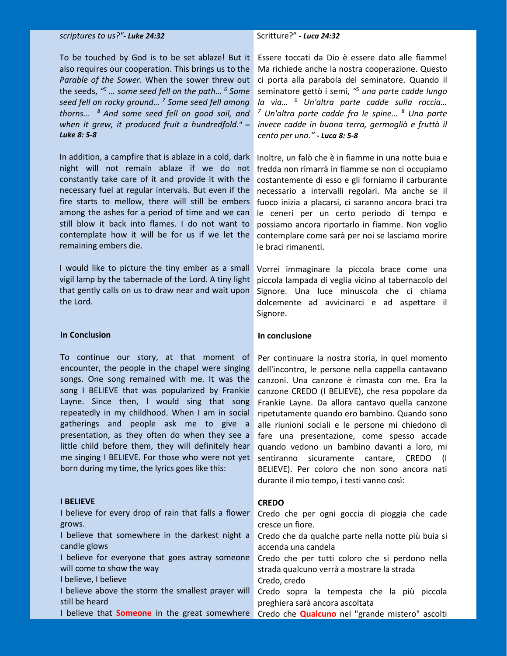# *scriptures to us?"- Luke 24:32*

To be touched by God is to be set ablaze! But it also requires our cooperation. This brings us to the *Parable of the Sower.* When the sower threw out the seeds, *" <sup>5</sup> … some seed fell on the path… <sup>6</sup> Some seed fell on rocky ground… <sup>7</sup> Some seed fell among thorns… <sup>8</sup> And some seed fell on good soil, and when it grew, it produced fruit a hundredfold." – Luke 8: 5-8*

In addition, a campfire that is ablaze in a cold, dark night will not remain ablaze if we do not constantly take care of it and provide it with the necessary fuel at regular intervals. But even if the fire starts to mellow, there will still be embers among the ashes for a period of time and we can still blow it back into flames. I do not want to contemplate how it will be for us if we let the remaining embers die.

I would like to picture the tiny ember as a small vigil lamp by the tabernacle of the Lord. A tiny light that gently calls on us to draw near and wait upon the Lord.

# **In Conclusion**

To continue our story, at that moment of encounter, the people in the chapel were singing songs. One song remained with me. It was the song I BELIEVE that was popularized by Frankie Layne. Since then, I would sing that song repeatedly in my childhood. When I am in social gatherings and people ask me to give a presentation, as they often do when they see a little child before them, they will definitely hear me singing I BELIEVE. For those who were not yet born during my time, the lyrics goes like this:

# **I BELIEVE**

I believe for every drop of rain that falls a flower grows.

I believe that somewhere in the darkest night a candle glows

I believe for everyone that goes astray someone will come to show the way

I believe, I believe

I believe above the storm the smallest prayer will still be heard

I believe that **Someone** in the great somewhere

#### Scritture?" *- Luca 24:32*

Essere toccati da Dio è essere dato alle fiamme! Ma richiede anche la nostra cooperazione. Questo ci porta alla parabola del seminatore. Quando il seminatore gettò i semi, *" <sup>5</sup> una parte cadde lungo la via… <sup>6</sup> Un'altra parte cadde sulla roccia… <sup>7</sup> Un'altra parte cadde fra le spine… <sup>8</sup> Una parte invece cadde in buona terra, germogliò e fruttò il cento per uno." -Luca 8: 5-8*

Inoltre, un falò che è in fiamme in una notte buia e fredda non rimarrà in fiamme se non ci occupiamo costantemente di esso e gli forniamo il carburante necessario a intervalli regolari. Ma anche se il fuoco inizia a placarsi, ci saranno ancora braci tra le ceneri per un certo periodo di tempo e possiamo ancora riportarlo in fiamme. Non voglio contemplare come sarà per noise lasciamo morire le braci rimanenti.

Vorrei immaginare la piccola brace come una piccola lampada di veglia vicino al tabernacolo del Signore. Una luce minuscola che ci chiama dolcemente ad avvicinarci e ad aspettare il Signore.

#### **In conclusione**

Per continuare la nostra storia, in quel momento dell'incontro, le persone nella cappella cantavano canzoni. Una canzone è rimasta con me. Era la canzone CREDO (I BELIEVE), che resa popolare da Frankie Layne. Da allora cantavo quella canzone ripetutamente quando ero bambino. Quando sono alle riunioni sociali e le persone mi chiedono di fare una presentazione, come spesso accade quando vedono un bambino davanti a loro, mi sentiranno sicuramente cantare, CREDO (I BELIEVE). Per coloro che non sono ancora nati durante il mio tempo, i testi vanno così:

#### **CREDO**

Credo che per ogni goccia di pioggia che cade cresce un fiore. Credo che da qualche parte nella notte più buia si accenda una candela Credo che per tutti coloro che si perdono nella strada qualcuno verrà a mostrare la strada Credo, credo

Credo sopra la tempesta che la più piccola preghiera sarà ancora ascoltata

Credo che **Qualcuno** nel "grande mistero" ascolti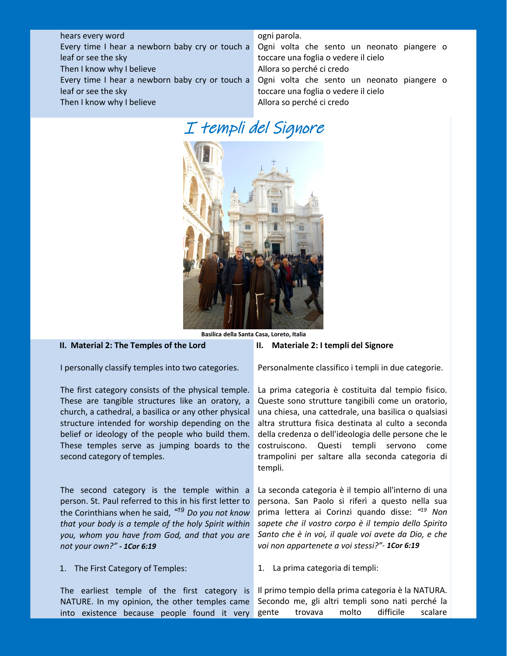#### hears every word

ogni parola.

| <b>IILAIJ LVLIV WUIU</b>                                                                   | URIII NUI VIU.                       |
|--------------------------------------------------------------------------------------------|--------------------------------------|
| Every time I hear a newborn baby cry or touch a Ogni volta che sento un neonato piangere o |                                      |
| leaf or see the sky                                                                        | toccare una foglia o vedere il cielo |
| Then I know why I believe                                                                  | Allora so perché ci credo            |
| Every time I hear a newborn baby cry or touch a Ogni volta che sento un neonato piangere o |                                      |
| leaf or see the sky                                                                        | toccare una foglia o vedere il cielo |
| Then I know why I believe                                                                  | Allora so perché ci credo            |

# <sup>I</sup> templi del Signore



**Basilica della Santa Casa, Loreto, Italia**

# **II. Material 2: The Temples of the Lord**

**II. Materiale 2: I templi del Signore**

I personally classify temples into two categories.

The first category consists of the physical temple. These are tangible structures like an oratory, a church, a cathedral, a basilica or any other physical structure intended for worship depending on the belief or ideology of the people who build them.<br>These temples serve as jumping boards to the second category of temples.

The second category is the temple within a person. St. Paul referred to this in his first letter to the Corinthians when he said, *"<sup>19</sup> Do you not know that your body is a temple of the holy Spirit within you, whom you have from God, and that you are not your own?" - 1Cor 6:19*

1. The First Category of Temples:

The earliest temple of the first category is NATURE. In my opinion, the other temples came into existence because people found it very gente trovava

Personalmente classifico i templi in due categorie.

La prima categoria è costituita dal tempio fisico. Queste sono strutture tangibili come un oratorio, una chiesa, una cattedrale, una basilica o qualsiasi altra struttura fisica destinata al culto a seconda della credenza o dell'ideologia delle persone che le costruiscono. Questi templi servono come trampolini per saltare alla seconda categoria di templi.

La seconda categoria è il tempio all'interno di una persona. San Paolo si riferì a questo nella sua prima lettera ai Corinzi quando disse: *" <sup>19</sup> Non sapete che il vostro corpo è il tempio dello Spirito Santo che è in voi, il quale voi avete da Dio, e che voi non appartenete a voi stessi?"*- *1Cor 6:19*

1. La prima categoria di templi:

Il primo tempio della prima categoria è la NATURA. Secondo me, gli altri templi sono nati perché la gente trovava molto difficile scalare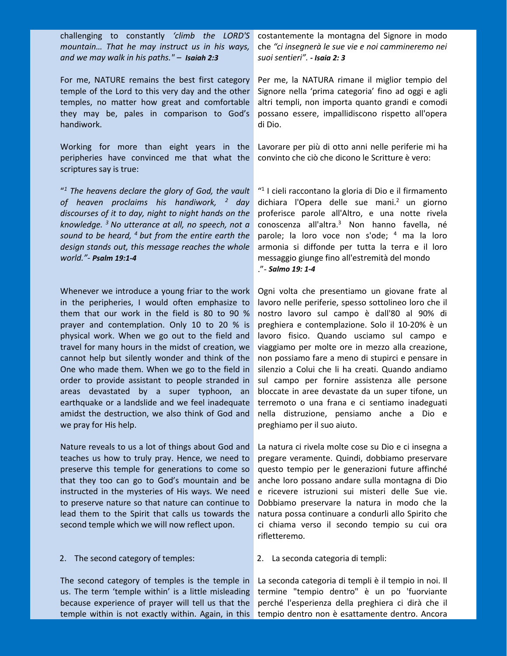challenging to constantly *'climb the LORD'S mountain… That he may instruct us in his ways, and we may walk in his paths." – Isaiah 2:3*

For me, NATURE remains the best first category temple of the Lord to this very day and the other temples, no matter how great and comfortable they may be, pales in comparison to God's handiwork.

Working for more than eight years in the peripheries have convinced me that what the scriptures say is true:

" *<sup>1</sup> The heavens declare the glory of God, the vault of heaven proclaims his handiwork, <sup>2</sup> day discourses of it to day, night to night hands on the knowledge. <sup>3</sup> No utterance at all, no speech, not a sound to be heard, <sup>4</sup> but from the entire earth the design stands out, this message reaches the whole world."- Psalm 19:1-4*

Whenever we introduce a young friar to the work in the peripheries, I would often emphasize to them that our work in the field is 80 to 90 % prayer and contemplation. Only 10 to 20 % is physical work. When we go out to the field and travel for many hours in the midst of creation, we cannot help but silently wonder and think of the One who made them. When we go to the field in order to provide assistant to people stranded in areas devastated by a super typhoon, an earthquake or a landslide and we feel inadequate amidst the destruction, we also think of God and we pray for His help.

Nature reveals to us a lot of things about God and teaches us how to truly pray. Hence, we need to preserve this temple for generations to come so that they too can go to God's mountain and be instructed in the mysteries of His ways. We need to preserve nature so that nature can continue to lead them to the Spirit that calls us towards the second temple which we will now reflect upon.

2. The second category of temples:

The second category of temples is the temple in us. The term 'temple within' is a little misleading because experience of prayer will tell us that the temple within is not exactly within. Again, in this

costantemente la montagna del Signore in modo che *"ci insegnerà le sue vie e noi cammineremo nei suoi sentieri". - Isaia 2: 3*

Per me, la NATURA rimane il miglior tempio del Signore nella 'prima categoria' fino ad oggi e agli altri templi, non importa quanto grandi e comodi possano essere, impallidiscono rispetto all'opera di Dio.

Lavorare per più di otto anni nelle periferie mi ha convinto che ciò che dicono le Scritture è vero:

" 1 I cieli raccontano la gloria di Dio e il firmamento dichiara l'Opera delle sue mani.<sup>2</sup> un giorno proferisce parole all'Altro, e una notte rivela conoscenza all'altra.<sup>3</sup> Non hanno favella, né parole; la loro voce non s'ode; <sup>4</sup> ma la loro armonia si diffonde per tutta la terra e il loro messaggio giunge fino all'estremità del mondo ."*- Salmo 19: 1-4*

Ogni volta che presentiamo un giovane frate al lavoro nelle periferie, spesso sottolineo loro che il nostro lavoro sul campo è dall'80 al 90% di preghiera e contemplazione. Solo il 10-20% è un lavoro fisico. Quando usciamo sul campo e viaggiamo per molte ore in mezzo alla creazione, non possiamo fare a meno di stupirci e pensare in silenzio a Colui che li ha creati. Quando andiamo sul campo per fornire assistenza alle persone bloccate in aree devastate da un super tifone, un terremoto o una frana e ci sentiamo inadeguati nella distruzione, pensiamo anche a Dio e preghiamo per il suo aiuto.

La natura ci rivela molte cose su Dio e ci insegna a pregare veramente. Quindi, dobbiamo preservare questo tempio per le generazioni future affinché anche loro possano andare sulla montagna di Dio e ricevere istruzioni sui misteri delle Sue vie. Dobbiamo preservare la natura in modo che la natura possa continuare a condurli allo Spirito che ci chiama verso il secondo tempio su cui ora rifletteremo.

2. La seconda categoria di templi:

La seconda categoria di templi è il tempio in noi. Il termine "tempio dentro" è un po 'fuorviante perché l'esperienza della preghiera ci dirà che il tempio dentro non è esattamente dentro. Ancora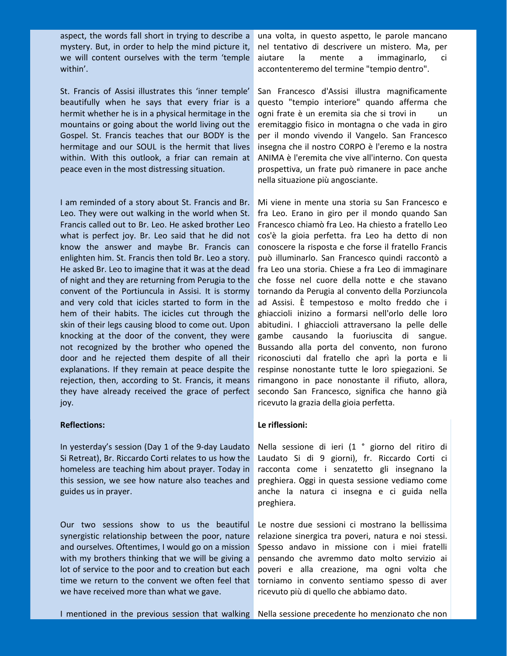aspect, the words fall short in trying to describe a mystery. But, in order to help the mind picture it, we will content ourselves with the term 'temple aiutare la mente within'.

St. Francis of Assisi illustrates this 'inner temple' beautifully when he says that every friar is a hermit whether he is in a physical hermitage in the mountains or going about the world living out the Gospel. St. Francis teaches that our BODY is the hermitage and our SOUL is the hermit that lives within. With this outlook, a friar can remain at peace even in the most distressing situation.

I am reminded of astory about St. Francis and Br. Leo. They were out walking in the world when St. Francis called out to Br. Leo. He asked brother Leo what is perfect joy. Br. Leo said that he did not know the answer and maybe Br. Francis can enlighten him. St. Francis then told Br. Leo a story. He asked Br. Leo to imagine that it was at the dead of night and they are returning from Perugia to the convent of the Portiuncula in Assisi. It is stormy and very cold that icicles started to form in the hem of their habits. The icicles cut through the skin of their legs causing blood to come out. Upon knocking at the door of the convent, they were not recognized by the brother who opened the door and he rejected them despite of all their explanations. If they remain at peace despite the rejection, then, according to St. Francis, it means they have already received the grace of perfect joy.

# **Reflections:**

In yesterday's session (Day 1 of the 9-day Laudato Si Retreat), Br. Riccardo Corti relates to us how the homeless are teaching him about prayer. Today in this session, we see how nature also teaches and guides us in prayer.

Our two sessions show to us the beautiful synergistic relationship between the poor, nature and ourselves. Oftentimes, I would go on a mission with my brothers thinking that we will be giving a lot of service to the poor and to creation but each time we return to the convent we often feel that we have received more than what we gave.

una volta, in questo aspetto, le parole mancano nel tentativo di descrivere un mistero. Ma, per a immaginarlo, ci accontenteremo del termine "tempio dentro".

San Francesco d'Assisi illustra magnificamente questo "tempio interiore" quando afferma che ogni frate è un eremita sia che si trovi in un eremitaggio fisico in montagna o che vada in giro per il mondo vivendo il Vangelo. San Francesco insegna che il nostro CORPO è l'eremo e la nostra ANIMA è l'eremita che vive all'interno.Con questa prospettiva, un frate può rimanere in pace anche nella situazione più angosciante.

Mi viene in mente una storia su San Francesco e fra Leo. Erano in giro per il mondo quando San Francesco chiamò fra Leo. Ha chiesto a fratello Leo cos'è la gioia perfetta. fra Leo ha detto di non conoscere la risposta e che forse il fratello Francis può illuminarlo. San Francesco quindi raccontò a fra Leo una storia. Chiese a fra Leo di immaginare che fosse nel cuore della notte e che stavano tornando da Perugia al convento della Porziuncola ad Assisi. È tempestoso e molto freddo che i ghiaccioli inizino a formarsi nell'orlo delle loro abitudini. I ghiaccioli attraversano la pelle delle gambe causando la fuoriuscita di sangue. Bussando alla porta del convento, non furono riconosciuti dal fratello che aprì la porta e li respinse nonostante tutte le loro spiegazioni. Se rimangono in pace nonostante il rifiuto, allora, secondo San Francesco, significa che hanno già ricevuto lagrazia della gioia perfetta.

#### **Le riflessioni:**

Nella sessione di ieri (1 ° giorno del ritiro di Laudato Si di 9 giorni), fr. Riccardo Corti ci racconta come i senzatetto gli insegnano la preghiera. Oggi in questa sessione vediamo come anche la natura ci insegna e ci guida nella preghiera.

Le nostre due sessioni ci mostrano la bellissima relazione sinergica tra poveri, natura e noi stessi. Spesso andavo in missione con i miei fratelli pensando che avremmo dato molto servizio ai poveri e alla creazione, ma ogni volta che torniamo in convento sentiamo spesso di aver ricevuto più di quello che abbiamo dato.

I mentioned in the previous session that walking Nella sessione precedente ho menzionato che non